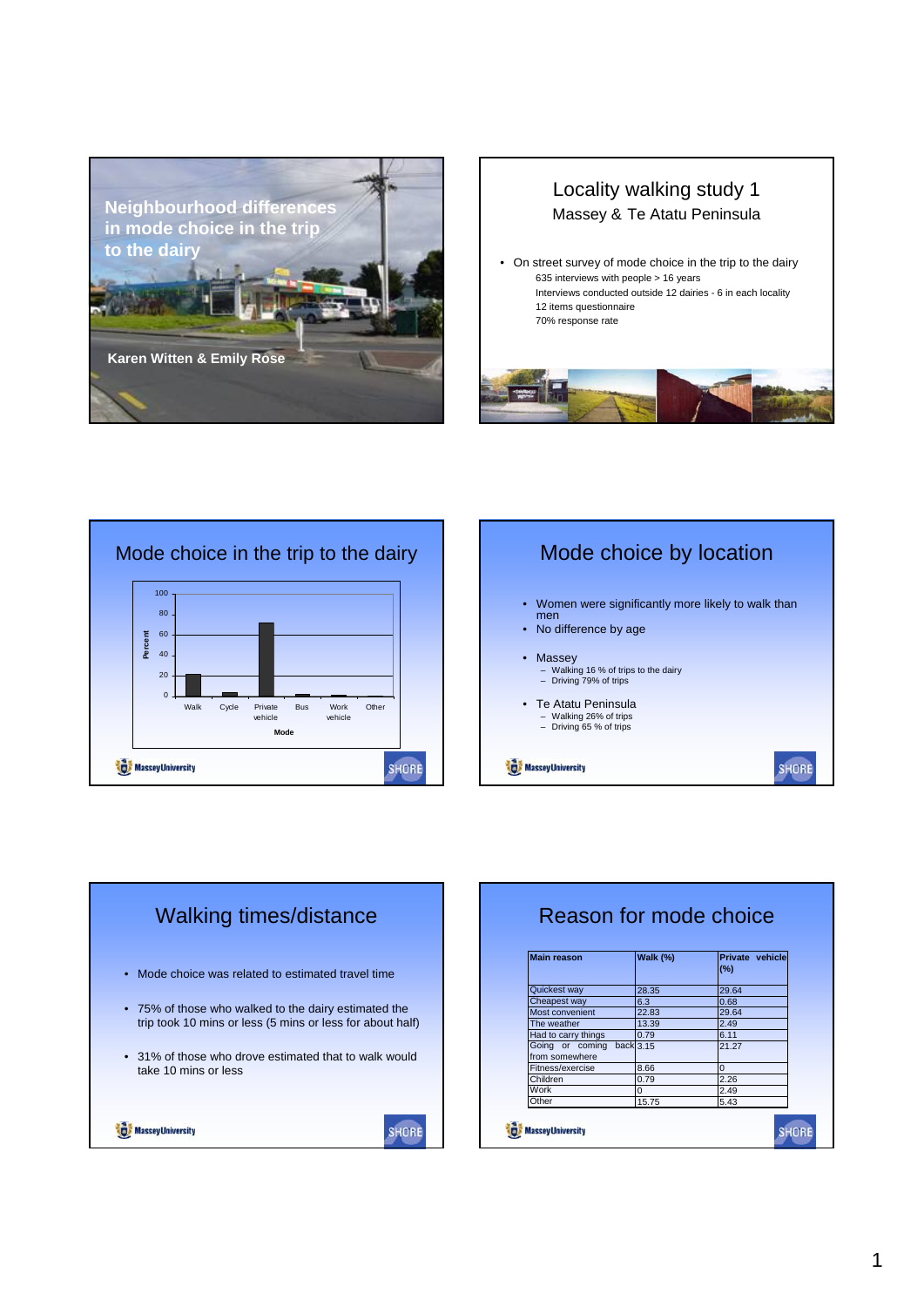









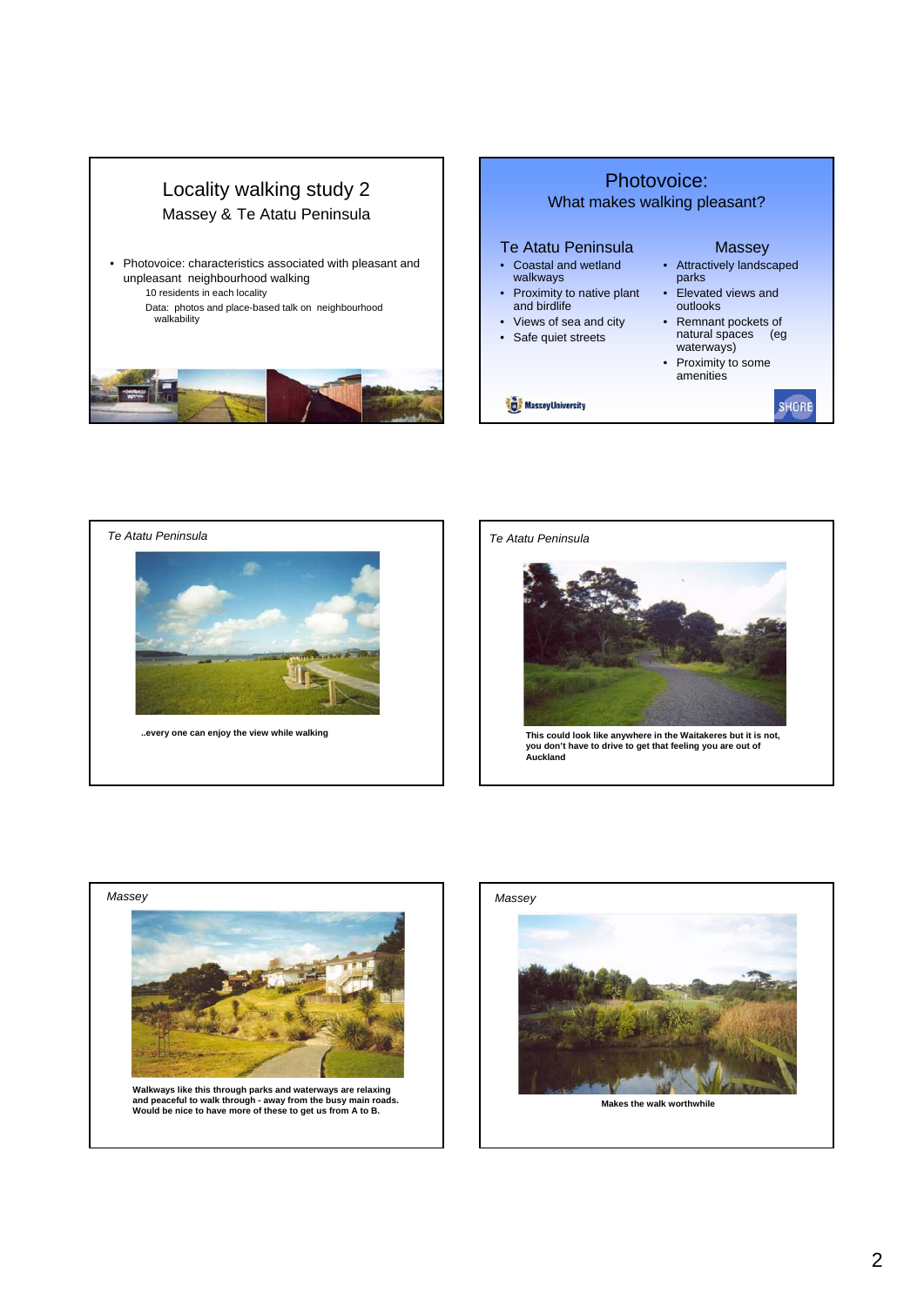



**This could look like anywhere in the Waitakeres but it is not, you don't have to drive to get that feeling you are out of Auckland** *Te Atatu Peninsula*



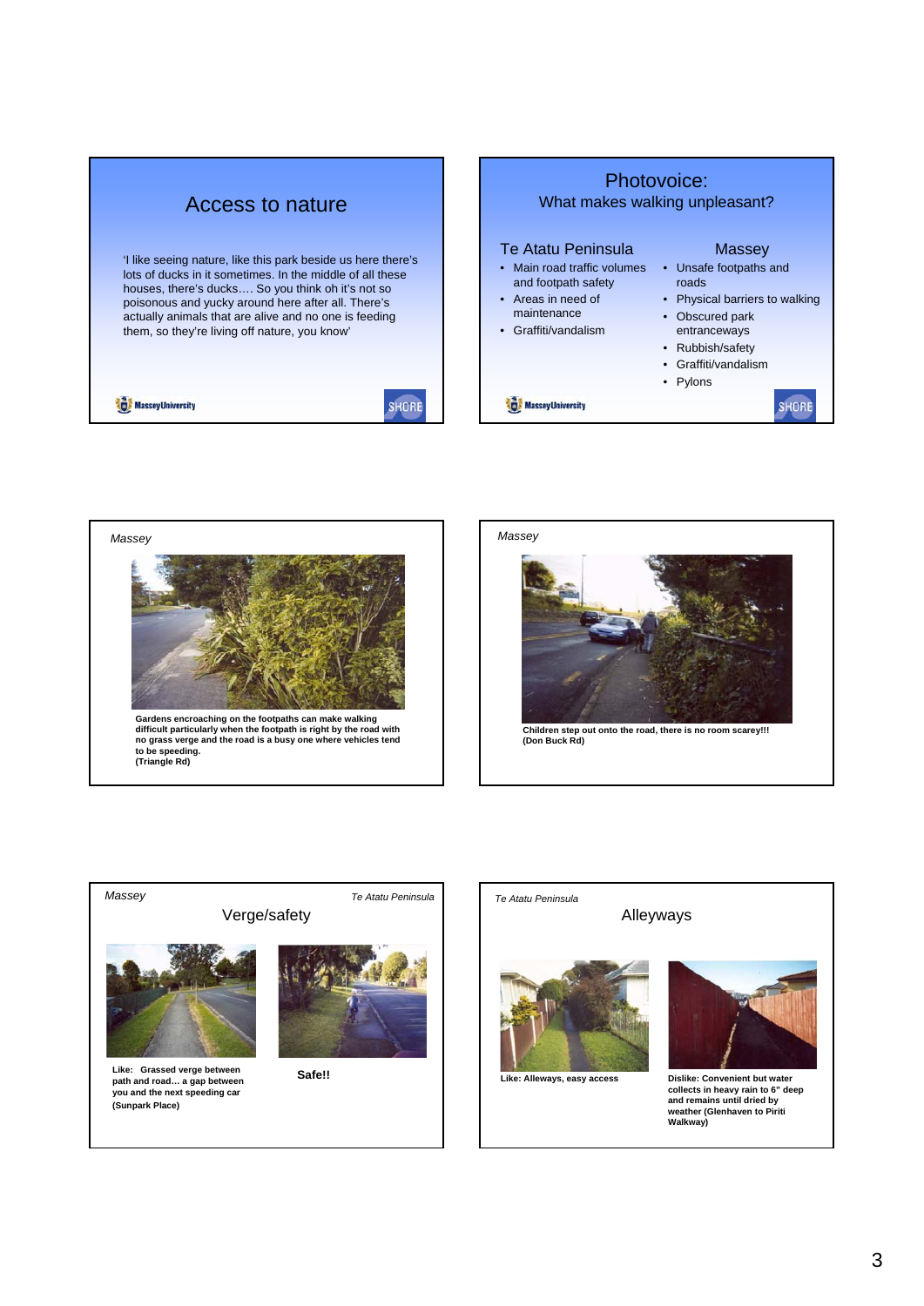| Access to nature                                                                                                                                                                                                                                                                                                                               | Photovoice:<br>What makes walking unpleasant?                                                                                                                                                                                                                                                                          |
|------------------------------------------------------------------------------------------------------------------------------------------------------------------------------------------------------------------------------------------------------------------------------------------------------------------------------------------------|------------------------------------------------------------------------------------------------------------------------------------------------------------------------------------------------------------------------------------------------------------------------------------------------------------------------|
| 'I like seeing nature, like this park beside us here there's<br>lots of ducks in it sometimes. In the middle of all these<br>houses, there's ducks So you think oh it's not so<br>poisonous and yucky around here after all. There's<br>actually animals that are alive and no one is feeding<br>them, so they're living off nature, you know' | Te Atatu Peninsula<br>Massey<br>Main road traffic volumes<br>Unsafe footpaths and<br>and footpath safety<br>roads<br>Areas in need of<br>• Physical barriers to walking<br>$\bullet$<br>maintenance<br>• Obscured park<br>• Graffiti/vandalism<br>entranceways<br>• Rubbish/safety<br>• Graffiti/vandalism<br>• Pylons |
| <b>Massev University</b>                                                                                                                                                                                                                                                                                                                       | <b>Massey University</b>                                                                                                                                                                                                                                                                                               |







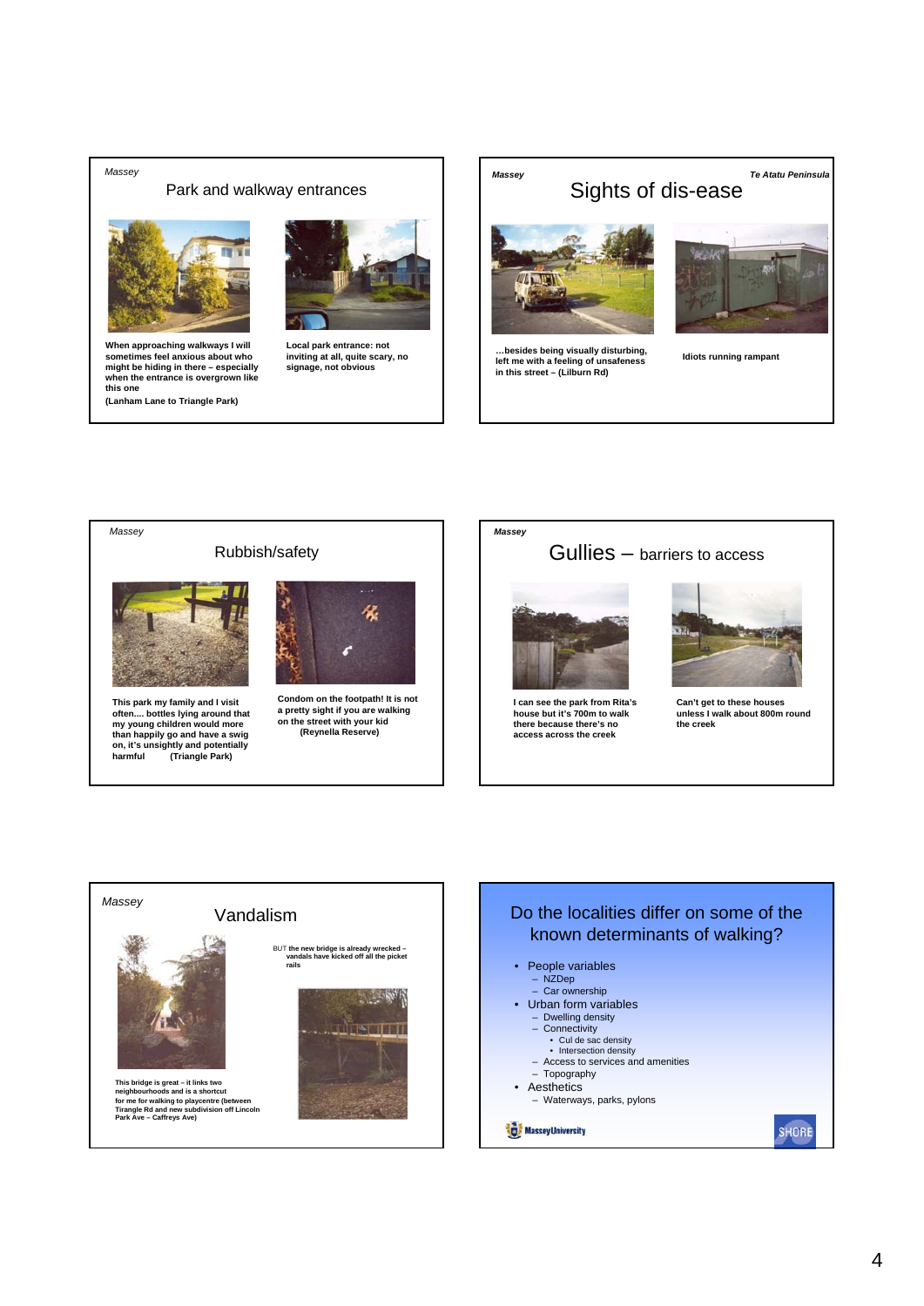## *Massey*

## Park and walkway entrances





**When approaching walkways I will sometimes feel anxious about who might be hiding in there – especially when the entrance is overgrown like this one (Lanham Lane to Triangle Park)**

**Local park entrance: not inviting at all, quite scary, no signage, not obvious**





## Gullies – barriers to access



**I can see the park from Rita's house but it's 700m to walk there because there's no access across the creek**



**Can't get to these houses unless I walk about 800m round the creek**